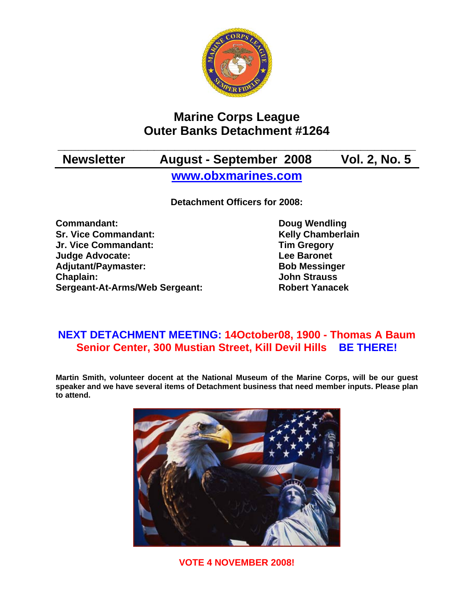

# **Marine Corps League Outer Banks Detachment #1264**

# **\_\_\_\_\_\_\_\_\_\_\_\_\_\_\_\_\_\_\_\_\_\_\_\_\_\_\_\_\_\_\_\_\_\_\_\_\_\_\_\_\_\_\_\_\_\_\_\_\_\_\_\_ Newsletter August - September 2008 Vol. 2, No. 5 www.obxmarines.com**

**Detachment Officers for 2008:** 

**Commandant:** Doug Wendling **Sr. Vice Commandant:** Kelly Chamberlain **Jr. Vice Commandant: Tim Gregory Judge Advocate:** The Contract Contract Lee Baronet Adjutant/Paymaster: Bob Messinger **Chaplain: John Strauss Sergeant-At-Arms/Web Sergeant: Robert Yanacek**

## **NEXT DETACHMENT MEETING: 14October08, 1900 - Thomas A Baum Senior Center, 300 Mustian Street, Kill Devil Hills BE THERE!**

**Martin Smith, volunteer docent at the National Museum of the Marine Corps, will be our guest speaker and we have several items of Detachment business that need member inputs. Please plan to attend.** 



**VOTE 4 NOVEMBER 2008!**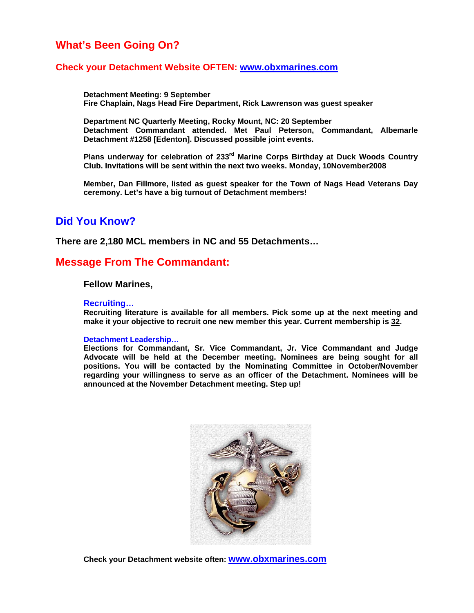## **What's Been Going On?**

### **Check your Detachment Website OFTEN: www.obxmarines.com**

 **Detachment Meeting: 9 September Fire Chaplain, Nags Head Fire Department, Rick Lawrenson was guest speaker** 

**Department NC Quarterly Meeting, Rocky Mount, NC: 20 September Detachment Commandant attended. Met Paul Peterson, Commandant, Albemarle Detachment #1258 [Edenton]. Discussed possible joint events.** 

**Plans underway for celebration of 233rd Marine Corps Birthday at Duck Woods Country Club. Invitations will be sent within the next two weeks. Monday, 10November2008** 

**Member, Dan Fillmore, listed as guest speaker for the Town of Nags Head Veterans Day ceremony. Let's have a big turnout of Detachment members!** 

## **Did You Know?**

**There are 2,180 MCL members in NC and 55 Detachments…**

## **Message From The Commandant:**

#### **Fellow Marines,**

#### **Recruiting…**

**Recruiting literature is available for all members. Pick some up at the next meeting and make it your objective to recruit one new member this year. Current membership is 32.** 

#### **Detachment Leadership…**

**Elections for Commandant, Sr. Vice Commandant, Jr. Vice Commandant and Judge Advocate will be held at the December meeting. Nominees are being sought for all positions. You will be contacted by the Nominating Committee in October/November regarding your willingness to serve as an officer of the Detachment. Nominees will be announced at the November Detachment meeting. Step up!** 



**Check your Detachment website often: www.obxmarines.com**